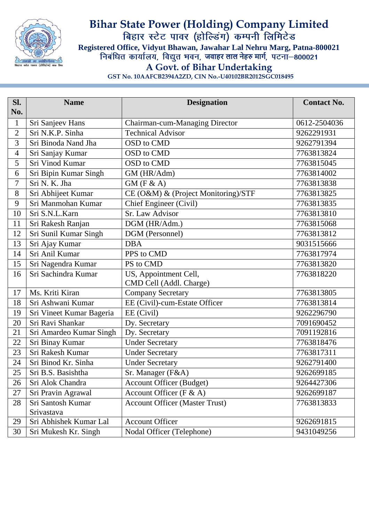

## **Bihar State Power (Holding) Company Limited Registered Office, Vidyut Bhawan, Jawahar Lal Nehru Marg, Patna-800021 जवाहर लाल नेहरु मार्ग A Govt. of Bihar Undertaking**

**GST No. 10AAFCB2394A2ZD, CIN No.-U40102BR2012SGC018495**

| SI.            | <b>Name</b>              | <b>Designation</b>                    | <b>Contact No.</b> |
|----------------|--------------------------|---------------------------------------|--------------------|
| No.            |                          |                                       |                    |
| $\mathbf{1}$   | Sri Sanjeev Hans         | Chairman-cum-Managing Director        | 0612-2504036       |
| $\overline{2}$ | Sri N.K.P. Sinha         | <b>Technical Advisor</b>              | 9262291931         |
| 3              | Sri Binoda Nand Jha      | OSD to CMD                            | 9262791394         |
| 4              | Sri Sanjay Kumar         | OSD to CMD                            | 7763813824         |
| 5              | Sri Vinod Kumar          | OSD to CMD                            | 7763815045         |
| 6              | Sri Bipin Kumar Singh    | GM (HR/Adm)                           | 7763814002         |
| 7              | Sri N. K. Jha            | $GM$ (F & A)                          | 7763813838         |
| 8              | Sri Abhijeet Kumar       | CE (O&M) & (Project Monitoring)/STF   | 7763813825         |
| 9              | Sri Manmohan Kumar       | Chief Engineer (Civil)                | 7763813835         |
| 10             | Sri S.N.L.Karn           | Sr. Law Advisor                       | 7763813810         |
| 11             | Sri Rakesh Ranjan        | DGM (HR/Adm.)                         | 7763815068         |
| 12             | Sri Sunil Kumar Singh    | DGM (Personnel)                       | 7763813812         |
| 13             | Sri Ajay Kumar           | <b>DBA</b>                            | 9031515666         |
| 14             | Sri Anil Kumar           | PPS to CMD                            | 7763817974         |
| 15             | Sri Nagendra Kumar       | PS to CMD                             | 7763813820         |
| 16             | Sri Sachindra Kumar      | US, Appointment Cell,                 | 7763818220         |
|                |                          | CMD Cell (Addl. Charge)               |                    |
| 17             | Ms. Kriti Kiran          | <b>Company Secretary</b>              | 7763813805         |
| 18             | Sri Ashwani Kumar        | EE (Civil)-cum-Estate Officer         | 7763813814         |
| 19             | Sri Vineet Kumar Bageria | EE (Civil)                            | 9262296790         |
| 20             | Sri Ravi Shankar         | Dy. Secretary                         | 7091690452         |
| 21             | Sri Amardeo Kumar Singh  | Dy. Secretary                         | 7091192816         |
| 22             | Sri Binay Kumar          | <b>Under Secretary</b>                | 7763818476         |
| 23             | Sri Rakesh Kumar         | <b>Under Secretary</b>                | 7763817311         |
| 24             | Sri Binod Kr. Sinha      | <b>Under Secretary</b>                | 9262791400         |
| 25             | Sri B.S. Basishtha       | Sr. Manager (F&A)                     | 9262699185         |
| 26             | Sri Alok Chandra         | <b>Account Officer (Budget)</b>       | 9264427306         |
| 27             | Sri Pravin Agrawal       | Account Officer ( $F & A$ )           | 9262699187         |
| 28             | Sri Santosh Kumar        | <b>Account Officer (Master Trust)</b> | 7763813833         |
|                | Srivastava               |                                       |                    |
| 29             | Sri Abhishek Kumar Lal   | <b>Account Officer</b>                | 9262691815         |
| 30             | Sri Mukesh Kr. Singh     | Nodal Officer (Telephone)             | 9431049256         |